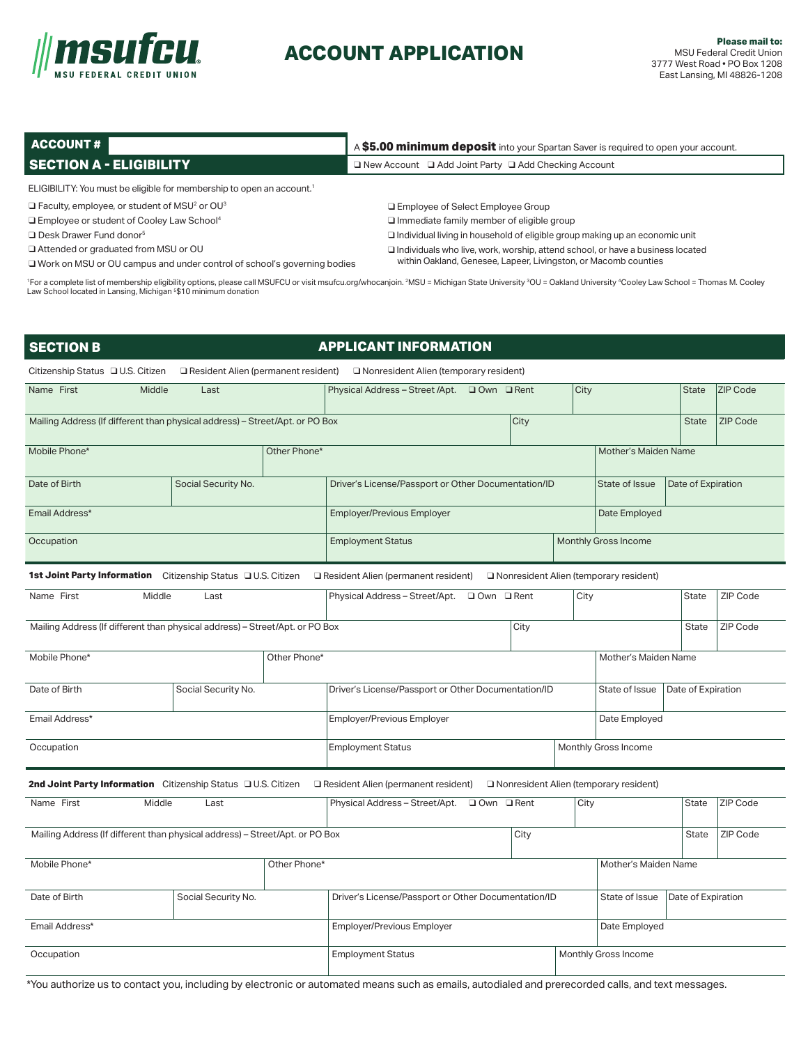

# **ACCOUNT APPLICATION**

| ACCOUNT#                                                                                                                                                                                                                                                                                                                     | A \$5.00 minimum deposit into your Spartan Saver is required to open your account.    |  |  |  |  |
|------------------------------------------------------------------------------------------------------------------------------------------------------------------------------------------------------------------------------------------------------------------------------------------------------------------------------|---------------------------------------------------------------------------------------|--|--|--|--|
| <b>SECTION A - ELIGIBILITY</b>                                                                                                                                                                                                                                                                                               | $\Box$ New Account $\Box$ Add Joint Party $\Box$ Add Checking Account                 |  |  |  |  |
| ELIGIBILITY: You must be eligible for membership to open an account. <sup>1</sup>                                                                                                                                                                                                                                            |                                                                                       |  |  |  |  |
| $\Box$ Faculty, employee, or student of MSU <sup>2</sup> or OU <sup>3</sup>                                                                                                                                                                                                                                                  | □ Employee of Select Employee Group                                                   |  |  |  |  |
| □ Employee or student of Cooley Law School <sup>4</sup>                                                                                                                                                                                                                                                                      | $\Box$ Immediate family member of eligible group                                      |  |  |  |  |
| $\Box$ Desk Drawer Fund donor <sup>5</sup>                                                                                                                                                                                                                                                                                   | $\Box$ Individual living in household of eligible group making up an economic unit    |  |  |  |  |
| □ Attended or graduated from MSU or OU                                                                                                                                                                                                                                                                                       | $\Box$ Individuals who live, work, worship, attend school, or have a business located |  |  |  |  |
| □ Work on MSU or OU campus and under control of school's governing bodies                                                                                                                                                                                                                                                    | within Oakland, Genesee, Lapeer, Livingston, or Macomb counties                       |  |  |  |  |
| <sup>1</sup> For a complete list of membership eligibility options, please call MSUFCU or visit msufcu.org/whocanjoin. <sup>2</sup> MSU = Michigan State University <sup>3</sup> OU = Oakland University <sup>4</sup> Cooley Law School = Thomas M. Cooley<br>Law School located in Lansing, Michigan 5\$10 minimum donation |                                                                                       |  |  |  |  |

| <b>SECTION B</b>                                                                                                                              |                     |              | <b>APPLICANT INFORMATION</b>                        |                                        |      |                      |                    |                 |
|-----------------------------------------------------------------------------------------------------------------------------------------------|---------------------|--------------|-----------------------------------------------------|----------------------------------------|------|----------------------|--------------------|-----------------|
| Citizenship Status □ U.S. Citizen<br>Resident Alien (permanent resident)<br>Nonresident Alien (temporary resident)                            |                     |              |                                                     |                                        |      |                      |                    |                 |
| Name First<br>Middle                                                                                                                          | Last                |              | Physical Address - Street /Apt. □ Own □ Rent        |                                        | City |                      | <b>State</b>       | ZIP Code        |
| Mailing Address (If different than physical address) - Street/Apt. or PO Box                                                                  |                     |              |                                                     | City                                   |      |                      | <b>State</b>       | <b>ZIP Code</b> |
| Mobile Phone*                                                                                                                                 |                     | Other Phone* |                                                     |                                        |      | Mother's Maiden Name |                    |                 |
| Date of Birth                                                                                                                                 | Social Security No. |              | Driver's License/Passport or Other Documentation/ID |                                        |      | State of Issue       | Date of Expiration |                 |
| Email Address*                                                                                                                                |                     |              | <b>Employer/Previous Employer</b>                   |                                        |      | Date Employed        |                    |                 |
| Occupation                                                                                                                                    |                     |              | <b>Employment Status</b>                            |                                        |      | Monthly Gross Income |                    |                 |
| 1st Joint Party Information Citizenship Status U.S. Citizen                                                                                   |                     |              | Resident Alien (permanent resident)                 | Nonresident Alien (temporary resident) |      |                      |                    |                 |
| Name First<br>Middle                                                                                                                          | Last                |              | Physical Address - Street/Apt.                      | □ Own □ Rent                           | City |                      | <b>State</b>       | ZIP Code        |
| Mailing Address (If different than physical address) - Street/Apt. or PO Box                                                                  |                     |              |                                                     | City                                   |      |                      | <b>State</b>       | ZIP Code        |
| Mobile Phone*                                                                                                                                 |                     | Other Phone* |                                                     |                                        |      | Mother's Maiden Name |                    |                 |
| Date of Birth                                                                                                                                 | Social Security No. |              | Driver's License/Passport or Other Documentation/ID |                                        |      | State of Issue       | Date of Expiration |                 |
| Email Address*                                                                                                                                |                     |              | <b>Employer/Previous Employer</b>                   |                                        |      | Date Employed        |                    |                 |
| Occupation                                                                                                                                    |                     |              | <b>Employment Status</b>                            |                                        |      | Monthly Gross Income |                    |                 |
| 2nd Joint Party Information Citizenship Status DU.S. Citizen<br>Resident Alien (permanent resident)<br>Nonresident Alien (temporary resident) |                     |              |                                                     |                                        |      |                      |                    |                 |
| Name First<br>Middle                                                                                                                          | Last                |              | Physical Address - Street/Apt.                      | □ Own □ Rent                           | City |                      | <b>State</b>       | ZIP Code        |
| Mailing Address (If different than physical address) - Street/Apt. or PO Box                                                                  |                     |              |                                                     | City                                   |      |                      | <b>State</b>       | ZIP Code        |
| Mobile Phone*                                                                                                                                 |                     | Other Phone* |                                                     |                                        |      | Mother's Maiden Name |                    |                 |
| Date of Birth                                                                                                                                 | Social Security No. |              | Driver's License/Passport or Other Documentation/ID |                                        |      | State of Issue       | Date of Expiration |                 |
| Email Address*                                                                                                                                |                     |              | Employer/Previous Employer                          |                                        |      | Date Employed        |                    |                 |
| Occupation                                                                                                                                    |                     |              | <b>Employment Status</b><br>Monthly Gross Income    |                                        |      |                      |                    |                 |

\*You authorize us to contact you, including by electronic or automated means such as emails, autodialed and prerecorded calls, and text messages.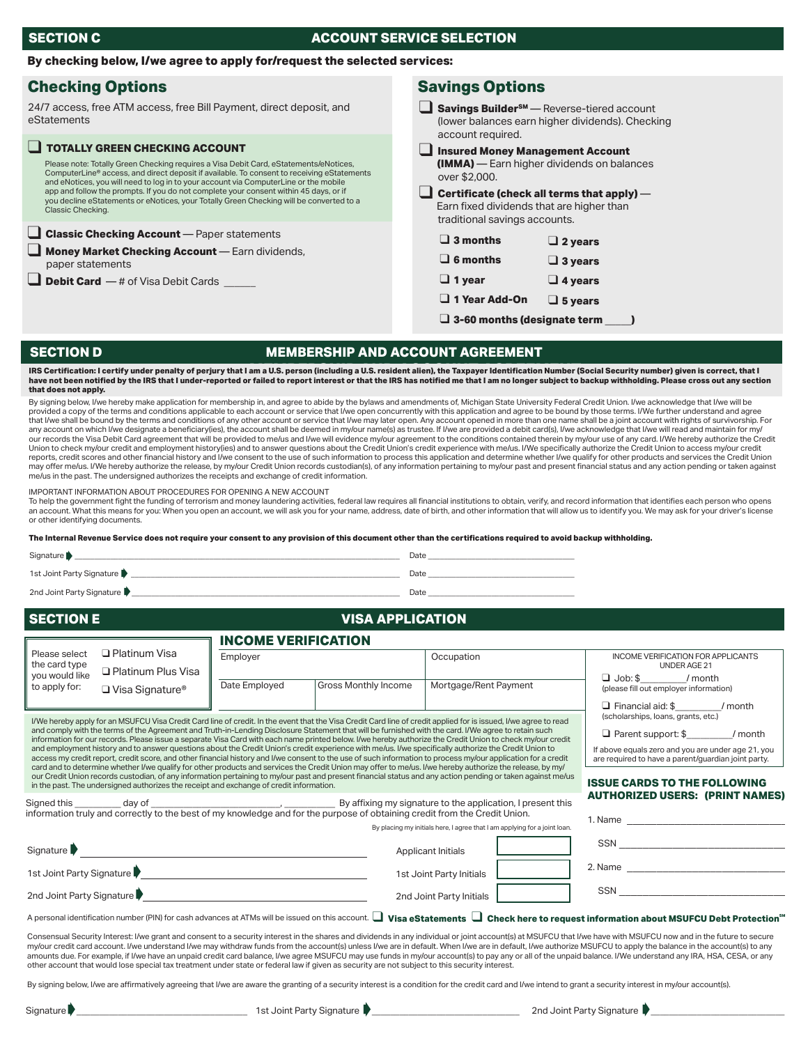## **SECTION C ACCOUNT SERVICE SELECTION**

#### **By checking below, I/we agree to apply for/request the selected services:**

## **Checking Options Checking Options** Savings Options

24/7 access, free ATM access, free Bill Payment, direct deposit, and eStatements

#### Please note: Totally Green Checking requires a Visa Debit Card, eStatements/eNotices, ComputerLine® access, and direct deposit if available. To consent to receiving eStatements and eNotices, you will need to log in to your account via ComputerLine or the mobile app and follow the prompts. If you do not complete your consent within 45 days, or if ou decline eStatements or eNotices, your Totally Green Checking will be converted to a Classic Checking. **TOTALLY GREEN CHECKING ACCOUNT** ❑ **Classic Checking Account** — Paper statements Money Market Checking Account — Earn dividends, paper statements

**Debit Card** — # of Visa Debit Cards \_

□ **Savings Builder<sup>sM</sup>** — Reverse-tiered account (lower balances earn higher dividends). Checking account required.

❑ **Insured Money Management Account (IMMA)** — Earn higher dividends on balances over \$2,000.

#### ❑ **Certificate (check all terms that apply)** — Earn fixed dividends that are higher than traditional savings accounts.

| $\square$ 3 months |  | $\Box$ 2 years |
|--------------------|--|----------------|
|--------------------|--|----------------|

- ❑ **6 months** ❑ **3 years**
- ❑ **1 year** ❑ **4 years**
- ❑ **1 Year Add-On** ❑ **5 years**

❑ **3-60 months (designate term \_\_\_\_\_)**

#### **SECTION D**

## **MEMBERSHIP AND ACCOUNT AGREEMENT**

IRS Certification: I certify under penalty of perjury that I am a U.S. person (including a U.S. resident alien), the Taxpayer Identification Number (Social Security number) given is correct, that I<br>have not been notified b **that does not apply.**

By signing below, I/we hereby make application for membership in, and agree to abide by the bylaws and amendments of, Michigan State University Federal Credit Union. I/we acknowledge that I/we will be provided a copy of the terms and conditions applicable to each account or service that I/we open concurrently with this application and agree to be bound by those terms. I/We further understand and agree that I/we shall be bound by the terms and conditions of any other account or service that I/we may later open. Any account opened in more than one name shall be a joint account with rights of survivorship. For<br>any account our records the Visa Debit Card agreement that will be provided to me/us and I/we will evidence my/our agreement to the conditions contained therein by my/our use of any card. I/We hereby authorize the Credit Union to check my/our credit and employment history(ies) and to answer questions about the Credit Union's credit experience with me/us. I/We specifically authorize the Credit Union to access my/our credit Union to access m may offer me/us. I/We hereby authorize the release, by my/our Credit Union records custodian(s), of any information pertaining to my/our past and present financial status and any action pending or taken against me/us in the past. The undersigned authorizes the receipts and exchange of credit information.

#### IMPORTANT INFORMATION ABOUT PROCEDURES FOR OPENING A NEW ACCOUNT

To help the government fight the funding of terrorism and money laundering activities, federal law requires all financial institutions to obtain, verify, and record information that identifies each person who opens an account. What this means for you: When you open an account, we will ask you for your name, address, date of birth, and other information that will allow us to identify you. We may ask for your driver's license or other identifying documents.

**The Internal Revenue Service does not require your consent to any provision of this document other than the certifications required to avoid backup withholding.**

#### Signature \_\_\_\_\_\_\_\_\_\_\_\_\_\_\_\_\_\_\_\_\_\_\_\_\_\_\_\_\_\_\_\_\_\_\_\_\_\_\_\_\_\_\_\_\_\_\_\_\_\_\_\_\_\_\_\_\_\_\_\_\_\_\_\_\_\_\_\_\_\_\_\_\_\_\_\_\_\_\_\_\_\_\_ Date \_\_\_\_\_\_\_\_\_\_\_\_\_\_\_\_\_\_\_\_\_\_\_\_\_\_\_\_\_\_\_\_\_\_\_\_\_ Signature **▶**

1st Joint Party Signature \_\_\_\_\_\_\_\_\_\_\_\_\_\_\_\_\_\_\_\_\_\_\_\_\_\_\_\_\_\_\_\_\_\_\_\_\_\_\_\_\_\_\_\_\_\_\_\_\_\_\_\_\_\_\_\_\_\_\_\_\_\_\_\_\_\_\_\_\_\_ Date \_\_\_\_\_\_\_\_\_\_\_\_\_\_\_\_\_\_\_\_\_\_\_\_\_\_\_\_\_\_\_\_\_\_\_\_\_ ➧

2nd Joint Party Signature \_\_\_\_\_\_\_\_\_\_\_\_\_\_\_\_\_\_\_\_\_\_\_\_\_\_\_\_\_\_\_\_\_\_\_\_\_\_\_\_\_\_\_\_\_\_\_\_\_\_\_\_\_\_\_\_\_\_\_\_\_\_\_\_\_\_\_\_\_\_Date \_\_\_\_\_\_\_\_\_\_\_\_\_\_\_\_\_\_\_\_\_\_\_\_\_\_\_\_\_\_\_\_\_\_\_\_\_ ➧

### **SECTION E SECTION C**

## **VISA APPLICATION**

|                                                                                                                                                                                                                                                        |                                                                                                                                                                                                                                                                                                                        | <b>INCOME VERIFICATION</b>                                                                                |                      |                                                                           |                                                           |  |  |
|--------------------------------------------------------------------------------------------------------------------------------------------------------------------------------------------------------------------------------------------------------|------------------------------------------------------------------------------------------------------------------------------------------------------------------------------------------------------------------------------------------------------------------------------------------------------------------------|-----------------------------------------------------------------------------------------------------------|----------------------|---------------------------------------------------------------------------|-----------------------------------------------------------|--|--|
| Please select<br>the card type                                                                                                                                                                                                                         | $\Box$ Platinum Visa                                                                                                                                                                                                                                                                                                   | Employer                                                                                                  |                      | Occupation                                                                | <b>INCOME VERIFICATION FOR APPLICANTS</b><br>UNDER AGE 21 |  |  |
| you would like                                                                                                                                                                                                                                         | □ Platinum Plus Visa                                                                                                                                                                                                                                                                                                   |                                                                                                           |                      |                                                                           | $\Box$ Job: \$ / month                                    |  |  |
| to apply for:                                                                                                                                                                                                                                          | $\Box$ Visa Signature®                                                                                                                                                                                                                                                                                                 | Date Employed                                                                                             | Gross Monthly Income | Mortgage/Rent Payment                                                     | (please fill out employer information)                    |  |  |
|                                                                                                                                                                                                                                                        |                                                                                                                                                                                                                                                                                                                        |                                                                                                           |                      |                                                                           | $\Box$ Financial aid: \$ / month                          |  |  |
|                                                                                                                                                                                                                                                        | I/We hereby apply for an MSUFCU Visa Credit Card line of credit. In the event that the Visa Credit Card line of credit applied for is issued, I/we agree to read                                                                                                                                                       | (scholarships, loans, grants, etc.)                                                                       |                      |                                                                           |                                                           |  |  |
|                                                                                                                                                                                                                                                        | and comply with the terms of the Agreement and Truth-in-Lending Disclosure Statement that will be furnished with the card. I/We agree to retain such<br>information for our records. Please issue a separate Visa Card with each name printed below. I/we hereby authorize the Credit Union to check my/our credit     | □ Parent support: \$ / month                                                                              |                      |                                                                           |                                                           |  |  |
|                                                                                                                                                                                                                                                        | and employment history and to answer questions about the Credit Union's credit experience with me/us. I/we specifically authorize the Credit Union to<br>access my credit report, credit score, and other financial history and I/we consent to the use of such information to process my/our application for a credit | If above equals zero and you are under age 21, you<br>are required to have a parent/guardian joint party. |                      |                                                                           |                                                           |  |  |
|                                                                                                                                                                                                                                                        | card and to determine whether I/we qualify for other products and services the Credit Union may offer to me/us. I/we hereby authorize the release, by my/                                                                                                                                                              |                                                                                                           |                      |                                                                           |                                                           |  |  |
| our Credit Union records custodian, of any information pertaining to my/our past and present financial status and any action pending or taken against me/us<br>in the past. The undersigned authorizes the receipt and exchange of credit information. |                                                                                                                                                                                                                                                                                                                        |                                                                                                           |                      |                                                                           | <b>ISSUE CARDS TO THE FOLLOWING</b>                       |  |  |
|                                                                                                                                                                                                                                                        |                                                                                                                                                                                                                                                                                                                        | <b>AUTHORIZED USERS: (PRINT NAMES)</b>                                                                    |                      |                                                                           |                                                           |  |  |
| information truly and correctly to the best of my knowledge and for the purpose of obtaining credit from the Credit Union.                                                                                                                             |                                                                                                                                                                                                                                                                                                                        |                                                                                                           |                      |                                                                           |                                                           |  |  |
|                                                                                                                                                                                                                                                        |                                                                                                                                                                                                                                                                                                                        |                                                                                                           |                      | By placing my initials here, I agree that I am applying for a joint loan. |                                                           |  |  |
|                                                                                                                                                                                                                                                        | Signature                                                                                                                                                                                                                                                                                                              |                                                                                                           |                      | Applicant Initials                                                        |                                                           |  |  |
|                                                                                                                                                                                                                                                        |                                                                                                                                                                                                                                                                                                                        |                                                                                                           |                      | 1st Joint Party Initials                                                  |                                                           |  |  |
|                                                                                                                                                                                                                                                        | 2nd Joint Party Signature 2014 19:00 19:00 19:00 19:00 19:00 19:00 19:00 19:00 19:00 19:00 19:00 19:00 19:00 1                                                                                                                                                                                                         |                                                                                                           |                      | 2nd Joint Party Initials                                                  |                                                           |  |  |
| A personal identification number (PIN) for cash advances at ATMs will be issued on this account. U Visa eStatements U Check here to request information about MSUFCU Debt Protection <sup>s m</sup>                                                    |                                                                                                                                                                                                                                                                                                                        |                                                                                                           |                      |                                                                           |                                                           |  |  |

Consensual Security Interest: I/we grant and consent to a security interest in the shares and dividends in any individual or joint account(s) at MSUFCU that I/we have with MSUFCU now and in the future to secure my/our credit card account. I/we understand I/we may withdraw funds from the account(s) unless I/we are in default. When I/we are in default, I/we authorize MSUFCU to apply the balance in the account(s) to any

amounts due. For example, if I/we have an unpaid credit card balance, I/we agree MSUFCU may use funds in my/our account(s) to pay any or all of the unpaid balance. I/We understand any IRA, HSA, CESA, or any cother account

By signing below, I/we are affirmatively agreeing that I/we are aware the granting of a security interest is a condition for the credit card and I/we intend to grant a security interest in my/our account(s).